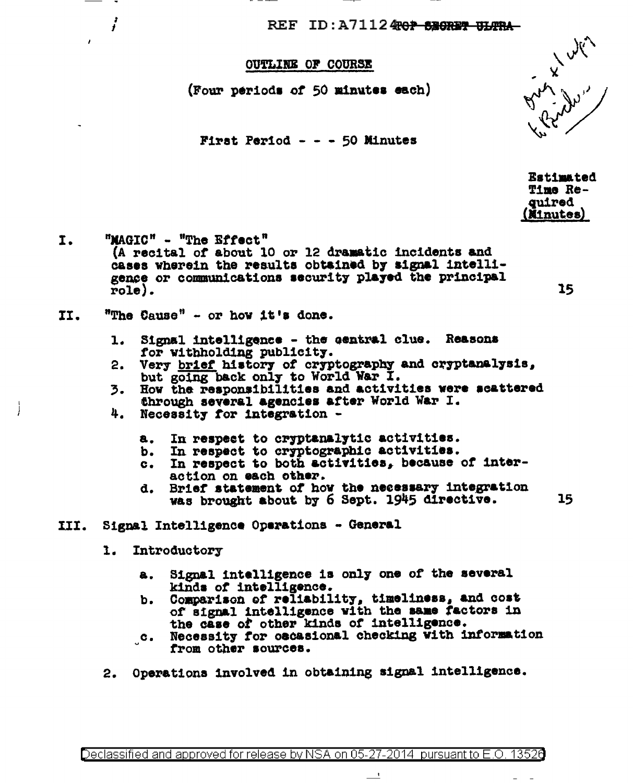REF ID: A71124<del>70P SECREP ULTRA</del>

## **OUTLINE OF COURSE**

(Four periods of 50 minutes each)

First Period - - - 50 Minutes

**Estimated** Time Re**quired** (Minutes)

"MAGIC" - "The Effect" I. (A recital of about 10 or 12 dramatic incidents and cases wherein the results obtained by signal intelligence or communications security played the principal  $role).$ 

"The Cause" - or how it's done. II.

 $\cdot$ 

- Signal intelligence the central clue. Reasons  $1.$ for withholding publicity.
- Very brief history of cryptography and cryptanalysis, but going back only to World War I.  $2.$
- How the responsibilities and activities were scattered 3. through several agencies after World War I.
- 4. Necessity for integration -
	- In respect to cryptanalytic activities. **a.**
	- In respect to cryptographic activities. b.
	- In respect to both activities, because of inter $c_{\bullet}$ action on each other.
	- Brief statement of how the necessary integration d. was brought about by 6 Sept. 1945 directive.
- III. Signal Intelligence Operations - General
	- $\mathbf{1}$ . Introductory
		- Signal intelligence is only one of the several 8. kinds of intelligence.
		- Comparison of reliability, timeliness, and cost ъ. of signal intelligence with the same factors in the case of other kinds of intelligence.
		- $\cdot$ . Necessity for oscasional checking with information from other sources.

 $\equiv$ 

Operations involved in obtaining signal intelligence. 2.

15

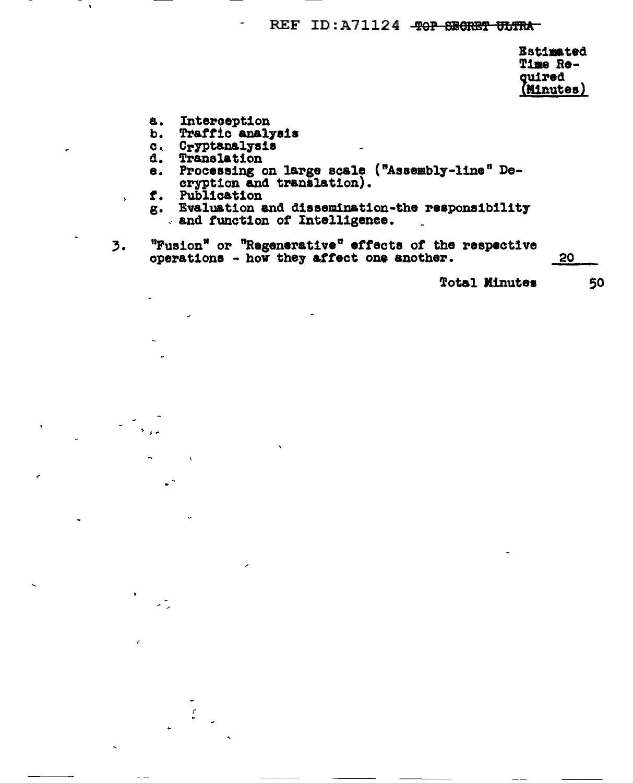## REF ID: A71124 - TOP SECRET ULTRA

Estimated Time Required (Minutes)

- a. Interception
- b. Traffic analysis
- c. Cryptanalysis
- Translation d.
- Processing on large scale ("Assembly-line" Dee. cryption and translation).
- f. Publication

 $\mathbf{r}$ 

 $\bar{\mathbf{r}}$ 

- g. Evaluation and dissemination-the responsibility and function of Intelligence.
- "Fusion" or "Regenerative" effects of the respective operations how they affect one another.  $\overline{3}$ .

**Total Minutes** 

20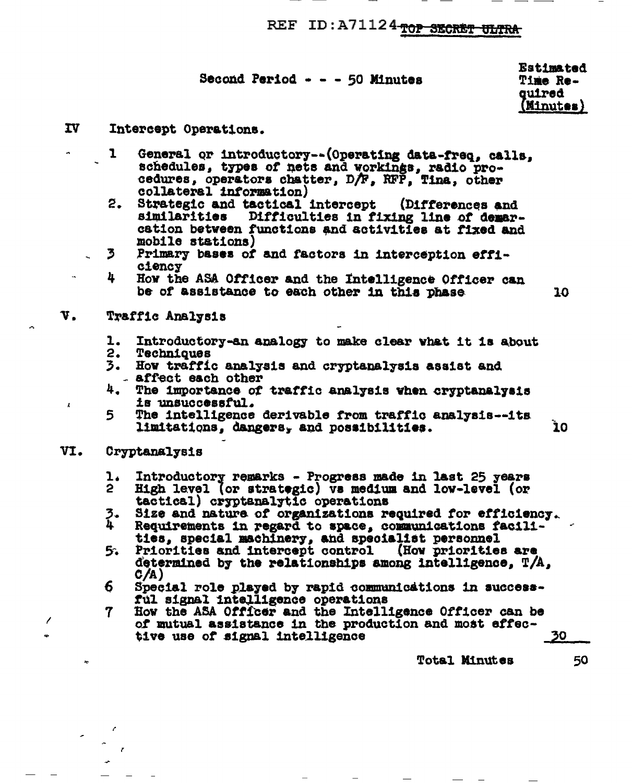REF ID: A71124 TOP SECRET ULTRA

| <b>Second Period - -</b> | - 50 Minutes |
|--------------------------|--------------|
|--------------------------|--------------|

**Estimated** Time Required (Minutes)

10

- IV<sub>1</sub> Intercept Operations.
	- General or introductory--(Operating data-freq. calls. ı schedules, types of nets and workings, radio procedures, operators chatter, D/F, RFP, Tina, other collateral information)
	- Strategic and tactical intercept 2. (Differences and similarities Difficulties in fixing line of demarcation between functions and activities at fixed and mobile stations)
	- 3. Primary bases of and factors in interception effi**ciency**
	- 4 How the ASA Officer and the Intelligence Officer can be of assistance to each other in this phase
- V. Traffic Analysis
	- 1. . Introductory-an analogy to make clear what it is about
	- 2. Techniques
	- 3. How traffic analysis and cryptanalysis assist and - affect each other
	- 4. The importance of traffic analysis when cryptanalysis is unsuccessful.
	- The intelligence derivable from traffic analysis--its 5. limitations, dangers, and possibilities. 10
- VI. Cryptanalysis

 $\boldsymbol{\lambda}$ 

- Introductory remarks Progress made in last 25 years ı.
- $\mathbf{2}$ High level (or strategic) vs medium and low-level (or tactical) cryptanalytic operations
- 3.<br>4 Size and nature of organizations required for efficiency.
- Requirements in regard to space, communications facilities, special machinery, and specialist personnel<br>Priorities and intercept control (How priorities are
- 5. determined by the relationships among intelligence,  $T/A$ , C/A)
- 6. Special role played by rapid communications in successful signal intelligence operations
- How the ASA Officer and the Intelligence Officer can be 7 of mutual assistance in the production and most effective use of signal intelligence

**Total Minutes** 

50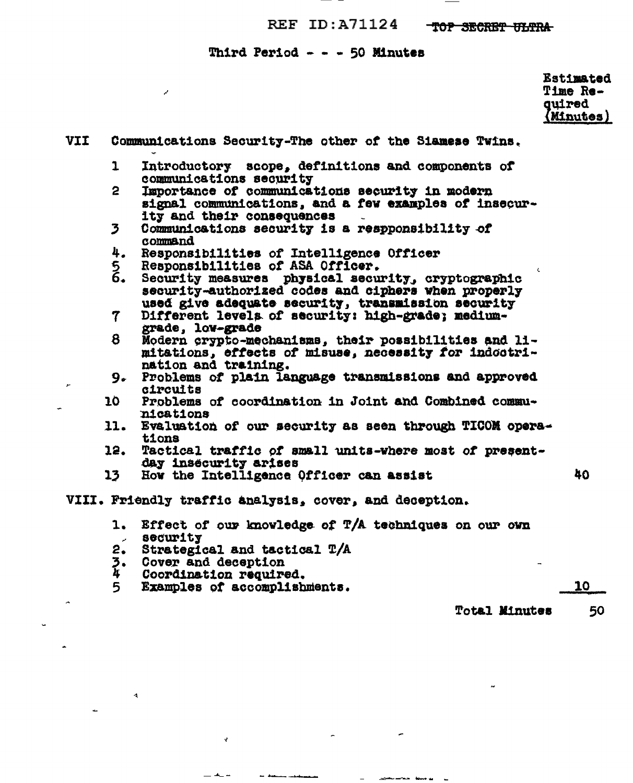## REF ID: A71124 TOP SECRET ULTRA

## Third Period - - - 50 Minutes

 $\mathcal{S}$ 

Estimated Time Re-<br>quired<br>(Minutes)

| VII |                                  | Communications Security-The other of the Siamese Twins.                      |    |
|-----|----------------------------------|------------------------------------------------------------------------------|----|
|     | $\mathbf{1}$                     | Introductory scope, definitions and components of<br>communications security |    |
|     | 2 <sup>1</sup>                   | Importance of communications security in modern                              |    |
|     |                                  | signal communications, and a few examples of insecur-                        |    |
|     |                                  | ity and their consequences                                                   |    |
|     | $\overline{\mathbf{3}}$          | Communications security is a respponsibility of<br>command                   |    |
|     | 4.                               | Responsibilities of Intelligence Officer                                     |    |
|     | 5<br>6.                          | Responsibilities of ASA Officer.                                             |    |
|     |                                  | Security measures physical security, cryptographic                           |    |
|     |                                  | security-authorized codes and ciphers when properly                          |    |
|     |                                  | used give adequate security, transmission security                           |    |
|     | $\mathbf 7$                      | Different levels of security: high-grade; medium-                            |    |
|     |                                  | grade, low-grade                                                             |    |
|     | 8                                | Modern crypto-mechanisms, their possibilities and li-                        |    |
|     |                                  | mitations, effects of misuse, necessity for indoctri-                        |    |
|     |                                  | nation and training.                                                         |    |
|     | 9.                               | Problems of plain language transmissions and approved<br>circuits            |    |
|     | 10                               | Problems of coordination in Joint and Combined commu-                        |    |
|     |                                  | nications                                                                    |    |
|     | 11.                              | Evaluation of our security as seen through TICOM opera-                      |    |
|     |                                  | tions                                                                        |    |
|     | 12.                              | Tactical traffic of small units-where most of present-                       |    |
|     |                                  | day insecurity arises                                                        |    |
|     | 13                               | How the Intelligence Officer can assist                                      | 40 |
|     |                                  | VIII. Friendly traffic analysis, cover, and deception.                       |    |
|     | 1.                               | Effect of our knowledge of T/A techniques on our own<br>security             |    |
|     | $\mathcal{L}^{\text{max}}$<br>2. | Strategical and tactical T/A                                                 |    |
|     | 3.                               | Cover and deception                                                          |    |
|     | 4                                | Coordination required.                                                       |    |
|     |                                  |                                                                              |    |

 $\sim$ 

 $\overline{\phantom{a}}$ 

j.

÷

and an interval of the contract of

 $\sim$ 

5 Examples of accomplishments.

 $\mathcal{C}$ 

 $\pm$  4.  $\pm$ 

an democratica

 $\overline{a}$ 

 $\ddot{\phantom{1}}$ 

 $\Delta$ 

 $10<sub>1</sub>$ 

Total Minutes 50

 $\overline{a}$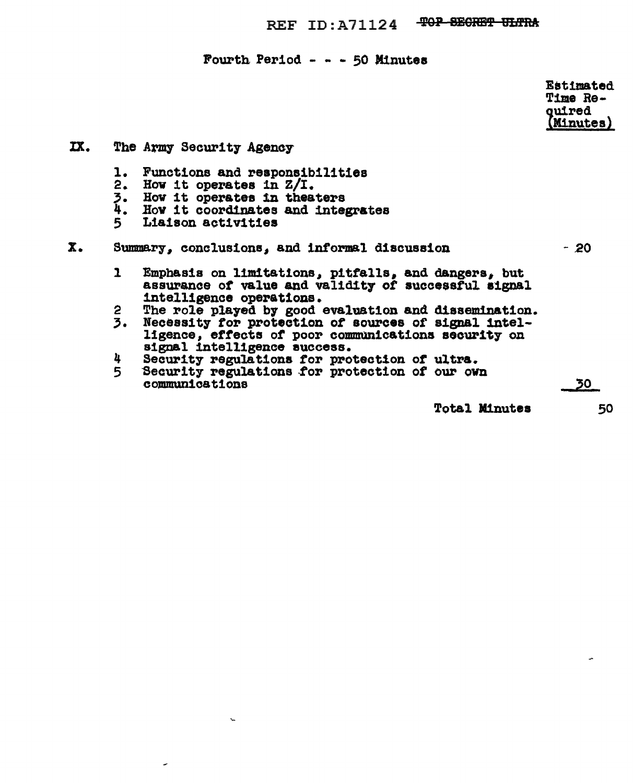REF ID: A71124 TOP SECRET ULTRA

Fourth Period - - - 50 Minutes

Estimated Time Re**quired** (Minutes)

IX. The Army Security Agency Functions and responsibilities 1. How it operates in  $Z/I$ .  $2.$ 3.<br>4. How it operates in theaters How it coordinates and integrates 5 Liaison activities  $\mathbf{x}$ . Summary, conclusions, and informal discussion  $-20$ Emphasis on limitations, pitfalls, and dangers, but  $\mathbf{1}$ assurance of value and validity of successful signal intelligence operations. The role played by good evaluation and dissemination. 2  $3.$ Necessity for protection of sources of signal intelligence, effects of poor communications security on signal intelligence success. Security regulations for protection of ultra.<br>Security regulations for protection of our own 4 5 communications  $30<sub>1</sub>$ **Total Minutes** 

 $\mathbf{v}_\mathrm{m}$